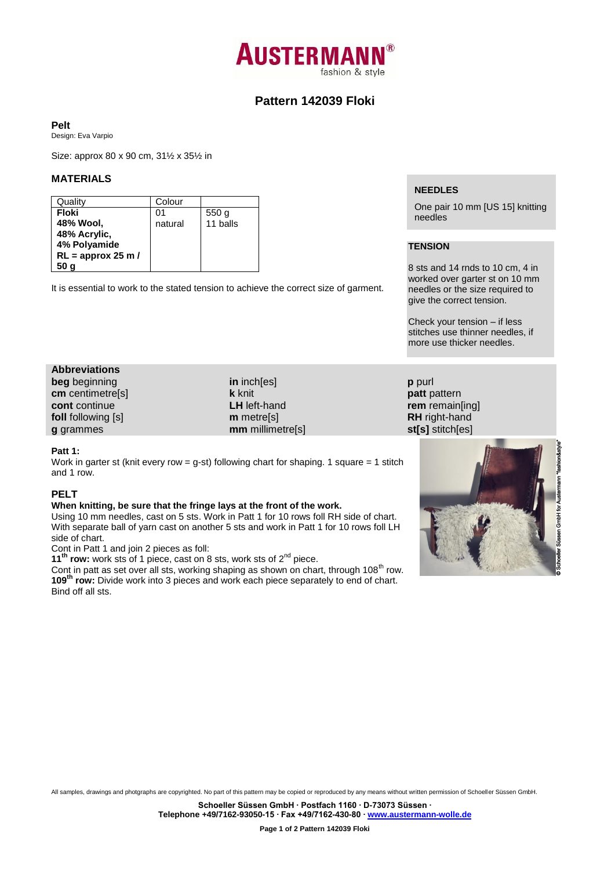

# **Pattern 142039 Floki**

#### **Pelt**

Design: Eva Varpio

Size: approx 80 x 90 cm, 31½ x 35½ in

### **MATERIALS**

| Quality              | Colour  |                  |
|----------------------|---------|------------------|
| Floki                | ი1      | 550 <sub>g</sub> |
| 48% Wool,            | natural | 11 balls         |
| 48% Acrylic,         |         |                  |
| 4% Polyamide         |         |                  |
| $RL =$ approx 25 m / |         |                  |
|                      |         |                  |

It is essential to work to the stated tension to achieve the correct size of garment.

#### **NEEDLES**

One pair 10 mm [US 15] knitting needles

# **TENSION**

**p** purl **patt** pattern

8 sts and 14 rnds to 10 cm, 4 in worked over garter st on 10 mm needles or the size required to give the correct tension.

Check your tension – if less stitches use thinner needles, if more use thicker needles.

# **Abbreviations beg** beginning **cm** centimetre[s]

**cont** continue **foll** following [s] **g** grammes

**in** inch[es] **k** knit **LH** left-hand **m** metre[s] **mm** millimetre[s]

#### **Patt 1:**

Work in garter st (knit every row = g-st) following chart for shaping. 1 square = 1 stitch and 1 row.

### **PELT**

#### **When knitting, be sure that the fringe lays at the front of the work.**

Using 10 mm needles, cast on 5 sts. Work in Patt 1 for 10 rows foll RH side of chart. With separate ball of yarn cast on another 5 sts and work in Patt 1 for 10 rows foll LH side of chart.

Cont in Patt 1 and join 2 pieces as foll:

**11<sup>th</sup> row:** work sts of 1 piece, cast on 8 sts, work sts of 2<sup>nd</sup> piece.

Cont in patt as set over all sts, working shaping as shown on chart, through 108<sup>th</sup> row. **109th row:** Divide work into 3 pieces and work each piece separately to end of chart. Bind off all sts.